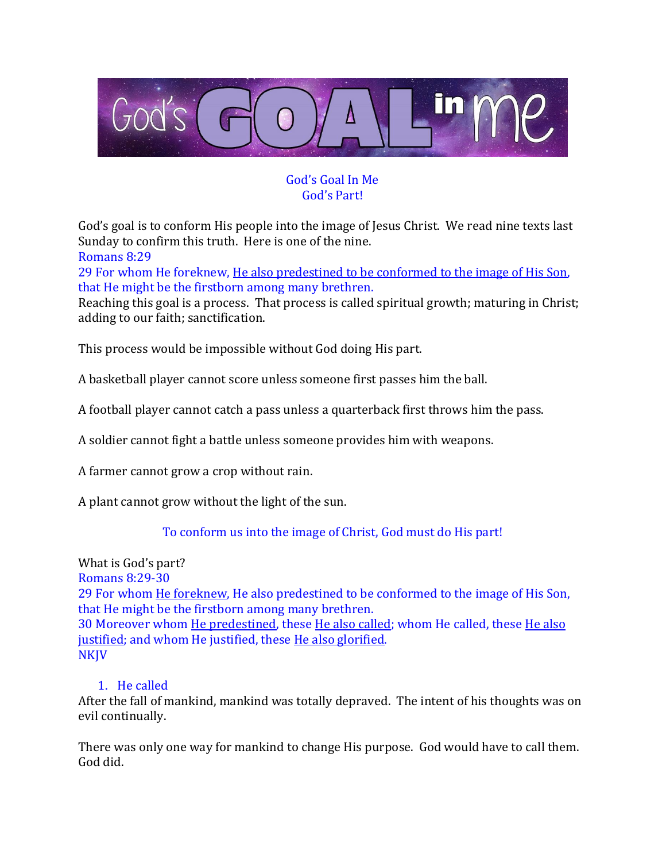

## God's Goal In Me God's Part!

God's goal is to conform His people into the image of Jesus Christ. We read nine texts last Sunday to confirm this truth. Here is one of the nine.

Romans 8:29

29 For whom He foreknew, He also predestined to be conformed to the image of His Son, that He might be the firstborn among many brethren.

Reaching this goal is a process. That process is called spiritual growth; maturing in Christ; adding to our faith; sanctification.

This process would be impossible without God doing His part.

A basketball player cannot score unless someone first passes him the ball.

A football player cannot catch a pass unless a quarterback first throws him the pass.

A soldier cannot fight a battle unless someone provides him with weapons.

A farmer cannot grow a crop without rain.

A plant cannot grow without the light of the sun.

To conform us into the image of Christ, God must do His part!

What is God's part? Romans 8:29-30 29 For whom He foreknew, He also predestined to be conformed to the image of His Son, that He might be the firstborn among many brethren. 30 Moreover whom He predestined, these He also called; whom He called, these He also justified; and whom He justified, these He also glorified. NKJV

## 1. He called

After the fall of mankind, mankind was totally depraved. The intent of his thoughts was on evil continually.

There was only one way for mankind to change His purpose. God would have to call them. God did.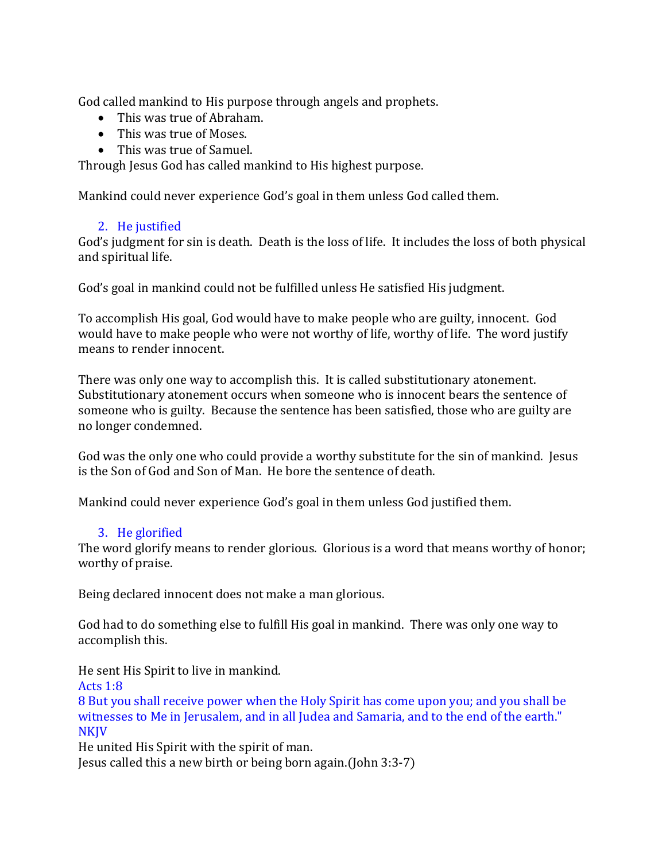God called mankind to His purpose through angels and prophets.

- This was true of Abraham.
- This was true of Moses.
- This was true of Samuel.

Through Jesus God has called mankind to His highest purpose.

Mankind could never experience God's goal in them unless God called them.

## 2. He justified

God's judgment for sin is death. Death is the loss of life. It includes the loss of both physical and spiritual life.

God's goal in mankind could not be fulfilled unless He satisfied His judgment.

To accomplish His goal, God would have to make people who are guilty, innocent. God would have to make people who were not worthy of life, worthy of life. The word justify means to render innocent.

There was only one way to accomplish this. It is called substitutionary atonement. Substitutionary atonement occurs when someone who is innocent bears the sentence of someone who is guilty. Because the sentence has been satisfied, those who are guilty are no longer condemned.

God was the only one who could provide a worthy substitute for the sin of mankind. Jesus is the Son of God and Son of Man. He bore the sentence of death.

Mankind could never experience God's goal in them unless God justified them.

## 3. He glorified

The word glorify means to render glorious. Glorious is a word that means worthy of honor; worthy of praise.

Being declared innocent does not make a man glorious.

God had to do something else to fulfill His goal in mankind. There was only one way to accomplish this.

He sent His Spirit to live in mankind.

Acts 1:8

8 But you shall receive power when the Holy Spirit has come upon you; and you shall be witnesses to Me in Jerusalem, and in all Judea and Samaria, and to the end of the earth." **NKJV** 

He united His Spirit with the spirit of man.

Jesus called this a new birth or being born again.(John 3:3-7)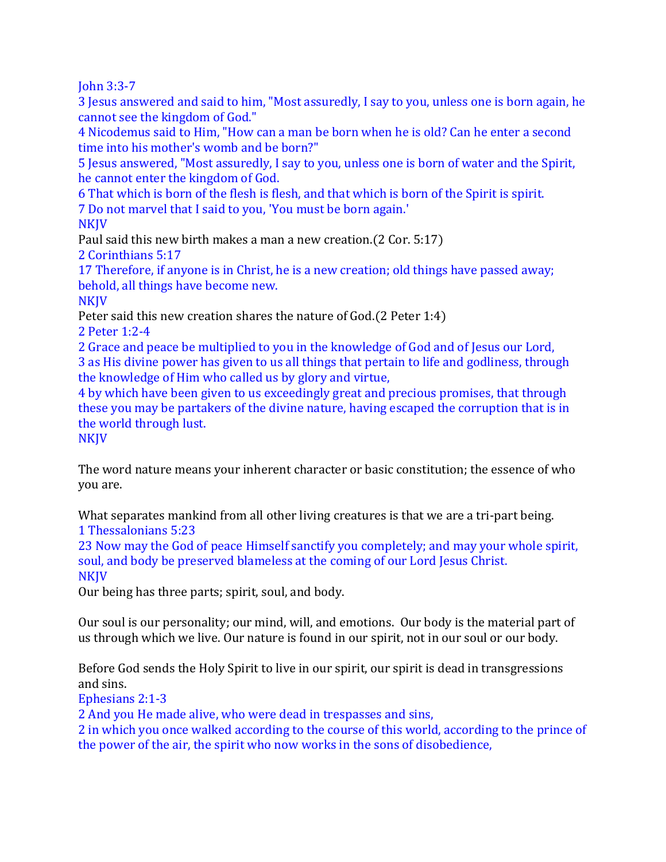John 3:3-7

3 Jesus answered and said to him, "Most assuredly, I say to you, unless one is born again, he cannot see the kingdom of God."

4 Nicodemus said to Him, "How can a man be born when he is old? Can he enter a second time into his mother's womb and be born?"

5 Jesus answered, "Most assuredly, I say to you, unless one is born of water and the Spirit, he cannot enter the kingdom of God.

6 That which is born of the flesh is flesh, and that which is born of the Spirit is spirit. 7 Do not marvel that I said to you, 'You must be born again.'

**NKIV** 

Paul said this new birth makes a man a new creation.(2 Cor. 5:17)

2 Corinthians 5:17

17 Therefore, if anyone is in Christ, he is a new creation; old things have passed away; behold, all things have become new.

**NKIV** 

Peter said this new creation shares the nature of God.(2 Peter 1:4)

2 Peter 1:2-4

2 Grace and peace be multiplied to you in the knowledge of God and of Jesus our Lord, 3 as His divine power has given to us all things that pertain to life and godliness, through the knowledge of Him who called us by glory and virtue,

4 by which have been given to us exceedingly great and precious promises, that through these you may be partakers of the divine nature, having escaped the corruption that is in the world through lust.

NKJV

The word nature means your inherent character or basic constitution; the essence of who you are.

What separates mankind from all other living creatures is that we are a tri-part being. 1 Thessalonians 5:23

23 Now may the God of peace Himself sanctify you completely; and may your whole spirit, soul, and body be preserved blameless at the coming of our Lord Jesus Christ. **NKJV** 

Our being has three parts; spirit, soul, and body.

Our soul is our personality; our mind, will, and emotions. Our body is the material part of us through which we live. Our nature is found in our spirit, not in our soul or our body.

Before God sends the Holy Spirit to live in our spirit, our spirit is dead in transgressions and sins.

Ephesians 2:1-3

2 And you He made alive, who were dead in trespasses and sins,

2 in which you once walked according to the course of this world, according to the prince of the power of the air, the spirit who now works in the sons of disobedience,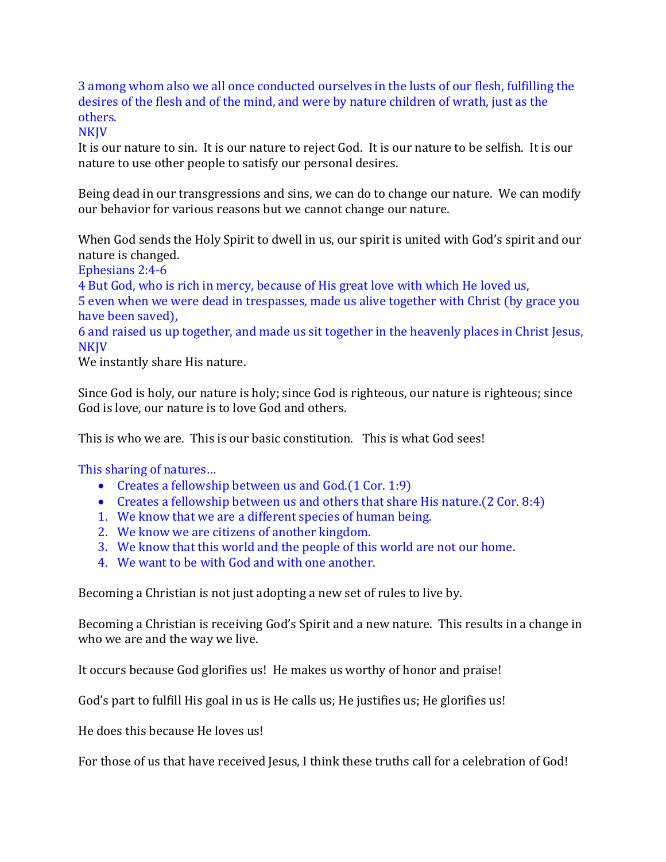3 among whom also we all once conducted ourselves in the lusts of our flesh, fulfilling the desires of the flesh and of the mind, and were by nature children of wrath, just as the others.

**NKJV** 

It is our nature to sin. It is our nature to reject God. It is our nature to be selfish. It is our nature to use other people to satisfy our personal desires.

Being dead in our transgressions and sins, we can do to change our nature. We can modify our behavior for various reasons but we cannot change our nature.

When God sends the Holy Spirit to dwell in us, our spirit is united with God's spirit and our nature is changed.

Ephesians 2:4-6

4 But God, who is rich in mercy, because of His great love with which He loved us, 5 even when we were dead in trespasses, made us alive together with Christ (by grace you have been saved),

6 and raised us up together, and made us sit together in the heavenly places in Christ Jesus, NKJV

We instantly share His nature.

Since God is holy, our nature is holy; since God is righteous, our nature is righteous; since God is love, our nature is to love God and others.

This is who we are. This is our basic constitution. This is what God sees!

This sharing of natures…

- Creates a fellowship between us and God.(1 Cor. 1:9)
- Creates a fellowship between us and others that share His nature. (2 Cor. 8:4)
- 1. We know that we are a different species of human being.
- 2. We know we are citizens of another kingdom.
- 3. We know that this world and the people of this world are not our home.
- 4. We want to be with God and with one another.

Becoming a Christian is not just adopting a new set of rules to live by.

Becoming a Christian is receiving God's Spirit and a new nature. This results in a change in who we are and the way we live.

It occurs because God glorifies us! He makes us worthy of honor and praise!

God's part to fulfill His goal in us is He calls us; He justifies us; He glorifies us!

He does this because He loves us!

For those of us that have received Jesus, I think these truths call for a celebration of God!